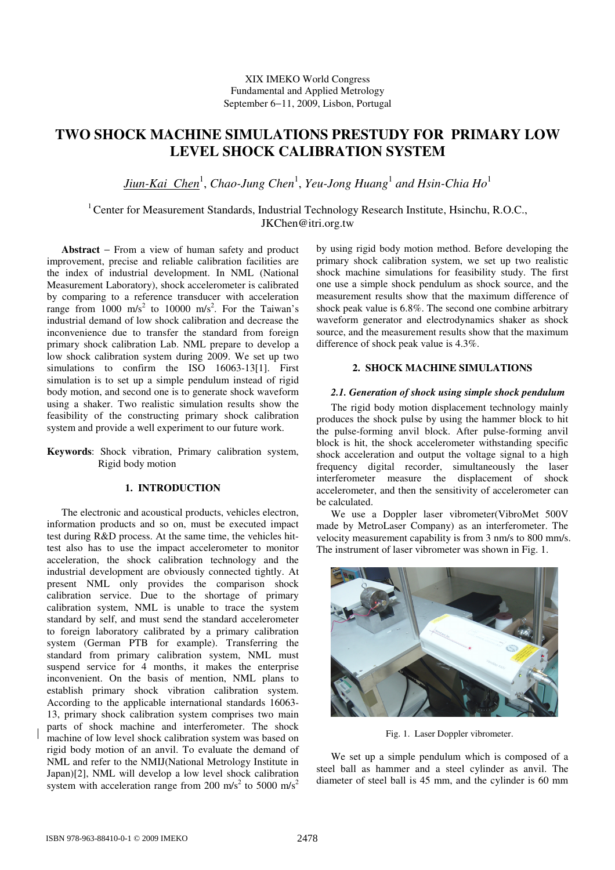## XIX IMEKO World Congress Fundamental and Applied Metrology September 6−11, 2009, Lisbon, Portugal

# **TWO SHOCK MACHINE SIMULATIONS PRESTUDY FOR PRIMARY LOW LEVEL SHOCK CALIBRATION SYSTEM**

*Jiun-Kai Chen*<sup>1</sup> , *Chao-Jung Chen*<sup>1</sup> , *Yeu-Jong Huang*<sup>1</sup>  *and Hsin-Chia Ho*<sup>1</sup>

<sup>1</sup> Center for Measurement Standards, Industrial Technology Research Institute, Hsinchu, R.O.C., JKChen@itri.org.tw

**Abstract** − From a view of human safety and product improvement, precise and reliable calibration facilities are the index of industrial development. In NML (National Measurement Laboratory), shock accelerometer is calibrated by comparing to a reference transducer with acceleration range from  $1000 \text{ m/s}^2$  to  $10000 \text{ m/s}^2$ . For the Taiwan's industrial demand of low shock calibration and decrease the inconvenience due to transfer the standard from foreign primary shock calibration Lab. NML prepare to develop a low shock calibration system during 2009. We set up two simulations to confirm the ISO 16063-13[1]. First simulation is to set up a simple pendulum instead of rigid body motion, and second one is to generate shock waveform using a shaker. Two realistic simulation results show the feasibility of the constructing primary shock calibration system and provide a well experiment to our future work.

**Keywords**: Shock vibration, Primary calibration system, Rigid body motion

## **1. INTRODUCTION**

The electronic and acoustical products, vehicles electron, information products and so on, must be executed impact test during R&D process. At the same time, the vehicles hittest also has to use the impact accelerometer to monitor acceleration, the shock calibration technology and the industrial development are obviously connected tightly. At present NML only provides the comparison shock calibration service. Due to the shortage of primary calibration system, NML is unable to trace the system standard by self, and must send the standard accelerometer to foreign laboratory calibrated by a primary calibration system (German PTB for example). Transferring the standard from primary calibration system, NML must suspend service for 4 months, it makes the enterprise inconvenient. On the basis of mention, NML plans to establish primary shock vibration calibration system. According to the applicable international standards 16063- 13, primary shock calibration system comprises two main parts of shock machine and interferometer. The shock machine of low level shock calibration system was based on rigid body motion of an anvil. To evaluate the demand of NML and refer to the NMIJ(National Metrology Institute in Japan)[2], NML will develop a low level shock calibration system with acceleration range from 200 m/s<sup>2</sup> to 5000 m/s<sup>2</sup>

by using rigid body motion method. Before developing the primary shock calibration system, we set up two realistic shock machine simulations for feasibility study. The first one use a simple shock pendulum as shock source, and the measurement results show that the maximum difference of shock peak value is 6.8%. The second one combine arbitrary waveform generator and electrodynamics shaker as shock source, and the measurement results show that the maximum difference of shock peak value is 4.3%.

## **2. SHOCK MACHINE SIMULATIONS**

## *2.1. Generation of shock using simple shock pendulum*

The rigid body motion displacement technology mainly produces the shock pulse by using the hammer block to hit the pulse-forming anvil block. After pulse-forming anvil block is hit, the shock accelerometer withstanding specific shock acceleration and output the voltage signal to a high frequency digital recorder, simultaneously the laser interferometer measure the displacement of shock accelerometer, and then the sensitivity of accelerometer can be calculated.

We use a Doppler laser vibrometer(VibroMet 500V made by MetroLaser Company) as an interferometer. The velocity measurement capability is from 3 nm/s to 800 mm/s. The instrument of laser vibrometer was shown in Fig. 1.



Fig. 1. Laser Doppler vibrometer.

We set up a simple pendulum which is composed of a steel ball as hammer and a steel cylinder as anvil. The diameter of steel ball is 45 mm, and the cylinder is 60 mm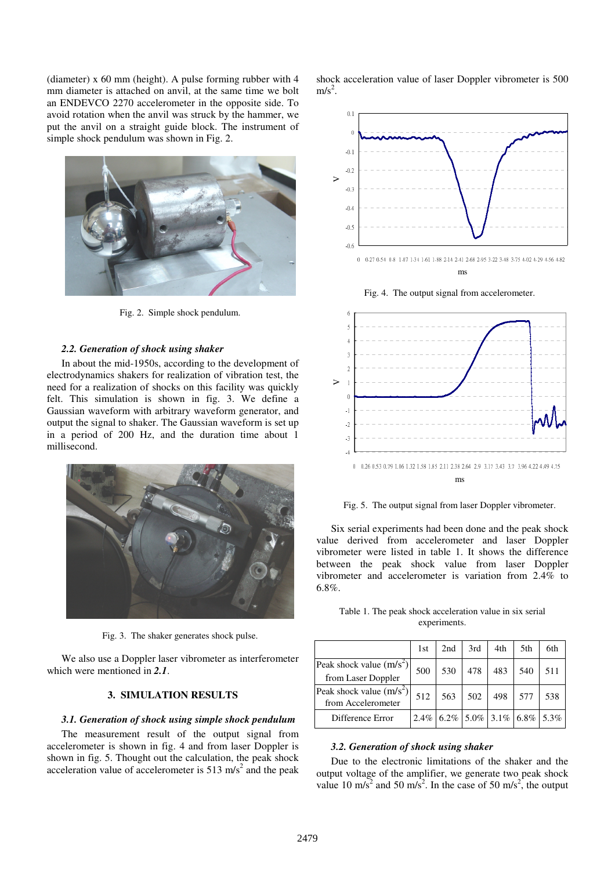(diameter) x 60 mm (height). A pulse forming rubber with 4 mm diameter is attached on anvil, at the same time we bolt an ENDEVCO 2270 accelerometer in the opposite side. To avoid rotation when the anvil was struck by the hammer, we put the anvil on a straight guide block. The instrument of simple shock pendulum was shown in Fig. 2.



Fig. 2. Simple shock pendulum.

#### *2.2. Generation of shock using shaker*

In about the mid-1950s, according to the development of electrodynamics shakers for realization of vibration test, the need for a realization of shocks on this facility was quickly felt. This simulation is shown in fig. 3. We define a Gaussian waveform with arbitrary waveform generator, and output the signal to shaker. The Gaussian waveform is set up in a period of 200 Hz, and the duration time about 1 millisecond.



Fig. 3. The shaker generates shock pulse.

We also use a Doppler laser vibrometer as interferometer which were mentioned in *2.1*.

## **3. SIMULATION RESULTS**

#### *3.1. Generation of shock using simple shock pendulum*

The measurement result of the output signal from accelerometer is shown in fig. 4 and from laser Doppler is shown in fig. 5. Thought out the calculation, the peak shock acceleration value of accelerometer is  $513 \text{ m/s}^2$  and the peak shock acceleration value of laser Doppler vibrometer is 500  $m/s<sup>2</sup>$ .



Fig. 4. The output signal from accelerometer.



Fig. 5. The output signal from laser Doppler vibrometer.

Six serial experiments had been done and the peak shock value derived from accelerometer and laser Doppler vibrometer were listed in table 1. It shows the difference between the peak shock value from laser Doppler vibrometer and accelerometer is variation from 2.4% to 6.8%.

Table 1. The peak shock acceleration value in six serial experiments.

|                                                  | 1st | 2nd                              | 3rd | 4th | 5th | 6th |
|--------------------------------------------------|-----|----------------------------------|-----|-----|-----|-----|
| Peak shock value $(m/s^2)$<br>from Laser Doppler | 500 | 530                              | 478 | 483 | 540 | 511 |
| Peak shock value $(m/s^2)$<br>from Accelerometer | 512 | 563                              | 502 | 498 | 577 | 538 |
| Difference Error                                 |     | $2.4\%$ 6.2% 5.0% 3.1% 6.8% 5.3% |     |     |     |     |

#### *3.2. Generation of shock using shaker*

Due to the electronic limitations of the shaker and the output voltage of the amplifier, we generate two peak shock value 10 m/s<sup>2</sup> and 50 m/s<sup>2</sup>. In the case of 50 m/s<sup>2</sup>, the output